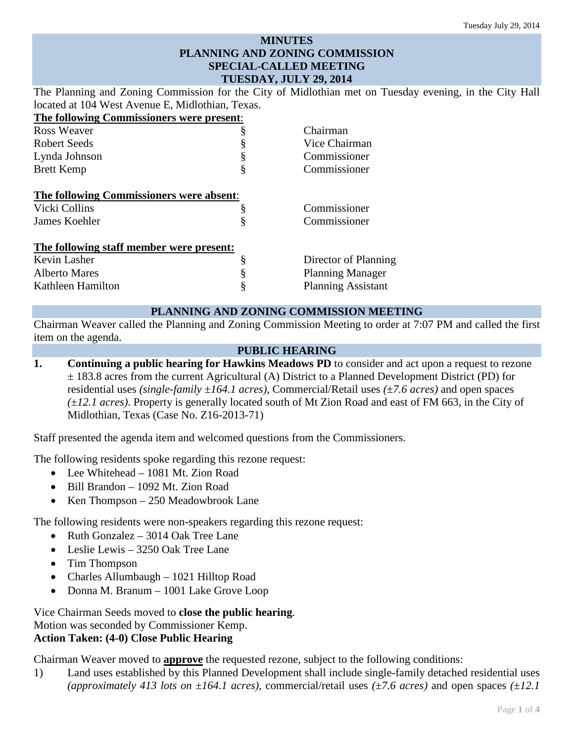## **MINUTES PLANNING AND ZONING COMMISSION SPECIAL-CALLED MEETING TUESDAY, JULY 29, 2014**

The Planning and Zoning Commission for the City of Midlothian met on Tuesday evening, in the City Hall located at 104 West Avenue E, Midlothian, Texas.

**The following Commissioners were present**: Ross Weaver **§** Chairman Robert Seeds § Vice Chairman Lynda Johnson § Commissioner Brett Kemp § Commissioner **The following Commissioners were absent**: Vicki Collins § Commissioner James Koehler § Commissioner **The following staff member were present:** Kevin Lasher § Director of Planning Alberto Mares § Planning Manager Kathleen Hamilton **§** Planning Assistant

## **PLANNING AND ZONING COMMISSION MEETING**

Chairman Weaver called the Planning and Zoning Commission Meeting to order at 7:07 PM and called the first item on the agenda.

## **PUBLIC HEARING**

**1. Continuing a public hearing for Hawkins Meadows PD** to consider and act upon a request to rezone ± 183.8 acres from the current Agricultural (A) District to a Planned Development District (PD) for residential uses *(single-family* ±*164.1 acres),* Commercial/Retail uses *(*±*7.6 acres)* and open spaces *(*±*12.1 acres)*. Property is generally located south of Mt Zion Road and east of FM 663, in the City of Midlothian, Texas (Case No. Z16-2013-71)

Staff presented the agenda item and welcomed questions from the Commissioners.

The following residents spoke regarding this rezone request:

- Lee Whitehead 1081 Mt. Zion Road
- Bill Brandon 1092 Mt. Zion Road
- Ken Thompson 250 Meadowbrook Lane

The following residents were non-speakers regarding this rezone request:

- Ruth Gonzalez 3014 Oak Tree Lane
- Leslie Lewis 3250 Oak Tree Lane
- Tim Thompson
- Charles Allumbaugh 1021 Hilltop Road
- Donna M. Branum 1001 Lake Grove Loop

Vice Chairman Seeds moved to **close the public hearing**. Motion was seconded by Commissioner Kemp. **Action Taken: (4-0) Close Public Hearing**

Chairman Weaver moved to **approve** the requested rezone, subject to the following conditions:

1) Land uses established by this Planned Development shall include single-family detached residential uses *(approximately 413 lots on*  $\pm 164.1$  *acres), commercial/retail uses*  $(\pm 7.6$  *acres)* and open spaces  $(\pm 12.1)$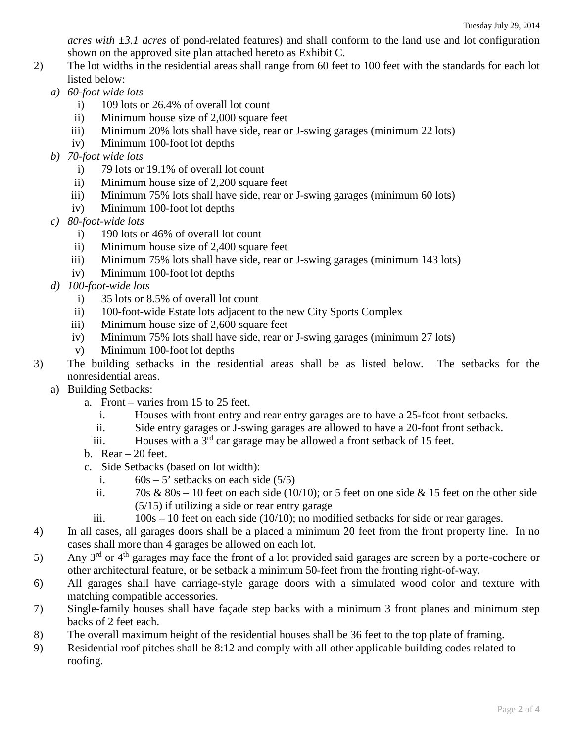*acres with* ±*3.1 acres* of pond-related features) and shall conform to the land use and lot configuration shown on the approved site plan attached hereto as Exhibit C.

- 2) The lot widths in the residential areas shall range from 60 feet to 100 feet with the standards for each lot listed below:
	- *a) 60-foot wide lots* 
		- i) 109 lots or 26.4% of overall lot count
		- ii) Minimum house size of 2,000 square feet
		- iii) Minimum 20% lots shall have side, rear or J-swing garages (minimum 22 lots)
		- iv) Minimum 100-foot lot depths
	- *b) 70-foot wide lots* 
		- i) 79 lots or 19.1% of overall lot count
		- ii) Minimum house size of 2,200 square feet
		- iii) Minimum 75% lots shall have side, rear or J-swing garages (minimum 60 lots)
		- iv) Minimum 100-foot lot depths
	- *c) 80-foot-wide lots* 
		- i) 190 lots or 46% of overall lot count
		- ii) Minimum house size of 2,400 square feet
		- iii) Minimum 75% lots shall have side, rear or J-swing garages (minimum 143 lots)
		- iv) Minimum 100-foot lot depths
	- *d) 100-foot-wide lots*
		- i) 35 lots or 8.5% of overall lot count
		- ii) 100-foot-wide Estate lots adjacent to the new City Sports Complex
		- iii) Minimum house size of 2,600 square feet
		- iv) Minimum 75% lots shall have side, rear or J-swing garages (minimum 27 lots)
		- v) Minimum 100-foot lot depths
- 3) The building setbacks in the residential areas shall be as listed below. The setbacks for the nonresidential areas.
	- a) Building Setbacks:
		- a. Front varies from 15 to 25 feet.
			- i. Houses with front entry and rear entry garages are to have a 25-foot front setbacks.
			- ii. Side entry garages or J-swing garages are allowed to have a 20-foot front setback.
			- iii. Houses with a  $3<sup>rd</sup>$  car garage may be allowed a front setback of 15 feet.
		- b. Rear  $-20$  feet.
		- c. Side Setbacks (based on lot width):
			- i.  $60s 5'$  setbacks on each side (5/5)
			- ii. 70s &  $80s 10$  feet on each side (10/10); or 5 feet on one side & 15 feet on the other side (5/15) if utilizing a side or rear entry garage
			- iii.  $100s 10$  feet on each side (10/10); no modified setbacks for side or rear garages.
- 4) In all cases, all garages doors shall be a placed a minimum 20 feet from the front property line. In no cases shall more than 4 garages be allowed on each lot.
- 5) Any  $3<sup>rd</sup>$  or  $4<sup>th</sup>$  garages may face the front of a lot provided said garages are screen by a porte-cochere or other architectural feature, or be setback a minimum 50-feet from the fronting right-of-way.
- 6) All garages shall have carriage-style garage doors with a simulated wood color and texture with matching compatible accessories.
- 7) Single-family houses shall have façade step backs with a minimum 3 front planes and minimum step backs of 2 feet each.
- 8) The overall maximum height of the residential houses shall be 36 feet to the top plate of framing.
- 9) Residential roof pitches shall be 8:12 and comply with all other applicable building codes related to roofing.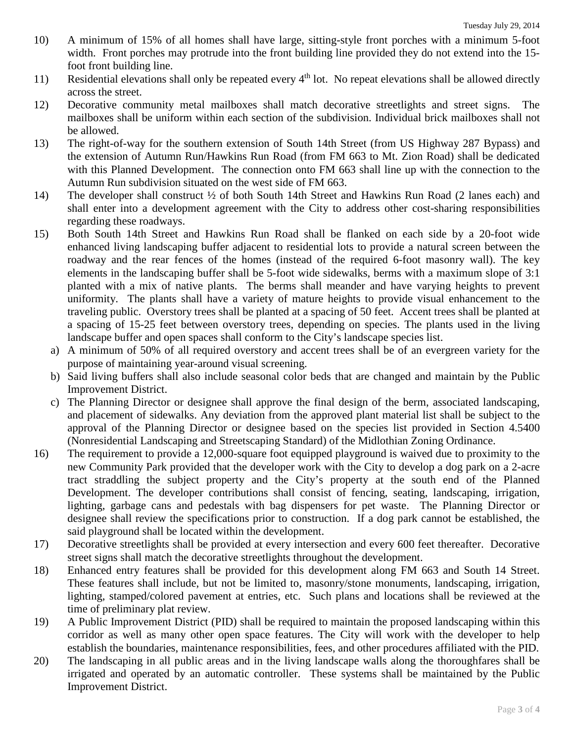- 10) A minimum of 15% of all homes shall have large, sitting-style front porches with a minimum 5-foot width. Front porches may protrude into the front building line provided they do not extend into the 15 foot front building line.
- 11) Residential elevations shall only be repeated every  $4<sup>th</sup>$  lot. No repeat elevations shall be allowed directly across the street.
- 12) Decorative community metal mailboxes shall match decorative streetlights and street signs. The mailboxes shall be uniform within each section of the subdivision. Individual brick mailboxes shall not be allowed.
- 13) The right-of-way for the southern extension of South 14th Street (from US Highway 287 Bypass) and the extension of Autumn Run/Hawkins Run Road (from FM 663 to Mt. Zion Road) shall be dedicated with this Planned Development. The connection onto FM 663 shall line up with the connection to the Autumn Run subdivision situated on the west side of FM 663.
- 14) The developer shall construct ½ of both South 14th Street and Hawkins Run Road (2 lanes each) and shall enter into a development agreement with the City to address other cost-sharing responsibilities regarding these roadways.
- 15) Both South 14th Street and Hawkins Run Road shall be flanked on each side by a 20-foot wide enhanced living landscaping buffer adjacent to residential lots to provide a natural screen between the roadway and the rear fences of the homes (instead of the required 6-foot masonry wall). The key elements in the landscaping buffer shall be 5-foot wide sidewalks, berms with a maximum slope of 3:1 planted with a mix of native plants. The berms shall meander and have varying heights to prevent uniformity. The plants shall have a variety of mature heights to provide visual enhancement to the traveling public. Overstory trees shall be planted at a spacing of 50 feet. Accent trees shall be planted at a spacing of 15-25 feet between overstory trees, depending on species. The plants used in the living landscape buffer and open spaces shall conform to the City's landscape species list.
	- a) A minimum of 50% of all required overstory and accent trees shall be of an evergreen variety for the purpose of maintaining year-around visual screening.
	- b) Said living buffers shall also include seasonal color beds that are changed and maintain by the Public Improvement District.
	- c) The Planning Director or designee shall approve the final design of the berm, associated landscaping, and placement of sidewalks. Any deviation from the approved plant material list shall be subject to the approval of the Planning Director or designee based on the species list provided in Section 4.5400 (Nonresidential Landscaping and Streetscaping Standard) of the Midlothian Zoning Ordinance.
- 16) The requirement to provide a 12,000-square foot equipped playground is waived due to proximity to the new Community Park provided that the developer work with the City to develop a dog park on a 2-acre tract straddling the subject property and the City's property at the south end of the Planned Development. The developer contributions shall consist of fencing, seating, landscaping, irrigation, lighting, garbage cans and pedestals with bag dispensers for pet waste. The Planning Director or designee shall review the specifications prior to construction. If a dog park cannot be established, the said playground shall be located within the development.
- 17) Decorative streetlights shall be provided at every intersection and every 600 feet thereafter. Decorative street signs shall match the decorative streetlights throughout the development.
- 18) Enhanced entry features shall be provided for this development along FM 663 and South 14 Street. These features shall include, but not be limited to, masonry/stone monuments, landscaping, irrigation, lighting, stamped/colored pavement at entries, etc. Such plans and locations shall be reviewed at the time of preliminary plat review.
- 19) A Public Improvement District (PID) shall be required to maintain the proposed landscaping within this corridor as well as many other open space features. The City will work with the developer to help establish the boundaries, maintenance responsibilities, fees, and other procedures affiliated with the PID.
- 20) The landscaping in all public areas and in the living landscape walls along the thoroughfares shall be irrigated and operated by an automatic controller. These systems shall be maintained by the Public Improvement District.